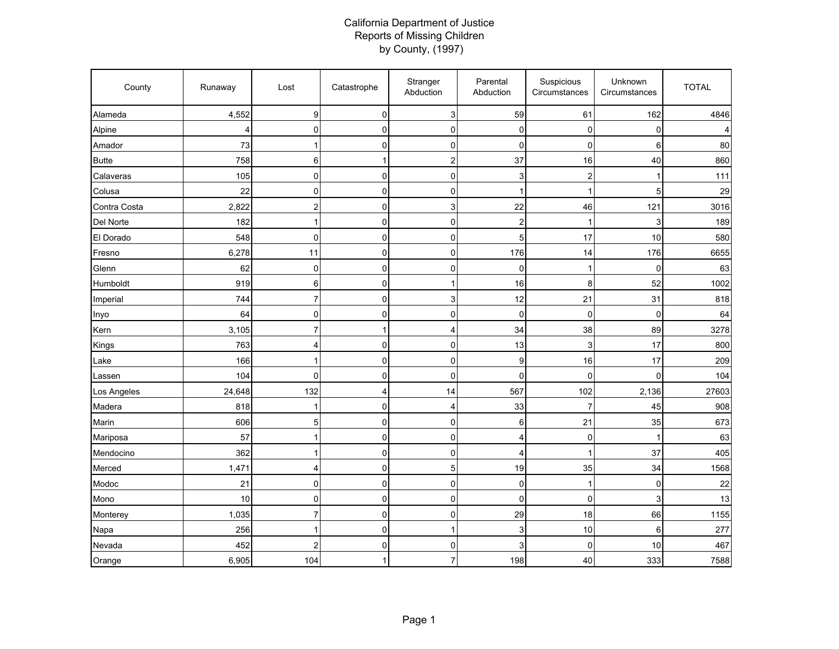## California Department of Justice Reports of Missing Children by County, (1997)

| County       | Runaway | Lost                    | Catastrophe             | Stranger<br>Abduction   | Parental<br>Abduction | Suspicious<br>Circumstances | Unknown<br>Circumstances | <b>TOTAL</b> |
|--------------|---------|-------------------------|-------------------------|-------------------------|-----------------------|-----------------------------|--------------------------|--------------|
| Alameda      | 4,552   | 9                       | $\pmb{0}$               | $\mathbf{3}$            | 59                    | 61                          | 162                      | 4846         |
| Alpine       | 4       | 0                       | $\overline{0}$          | $\pmb{0}$               | 0                     | 0                           | $\overline{0}$           |              |
| Amador       | 73      | 1                       | $\pmb{0}$               | $\mathsf{O}\xspace$     | $\mathbf 0$           | $\mathbf 0$                 | 6                        | 80           |
| <b>Butte</b> | 758     | 6                       | $\mathbf{1}$            | $\boldsymbol{2}$        | 37                    | 16                          | 40                       | 860          |
| Calaveras    | 105     | $\mathbf 0$             | $\mathbf 0$             | $\mathbf{0}$            | 3                     | $\overline{\mathbf{c}}$     | 1                        | 111          |
| Colusa       | 22      | $\mathbf 0$             | $\mathbf 0$             | 0                       | $\overline{1}$        | 1                           | 5                        | 29           |
| Contra Costa | 2,822   | $\overline{\mathbf{c}}$ | $\pmb{0}$               | $\mathsf 3$             | 22                    | 46                          | 121                      | 3016         |
| Del Norte    | 182     | $\overline{1}$          | $\mathbf 0$             | $\mathsf{O}\xspace$     | $\overline{c}$        | $\mathbf 1$                 | 3                        | 189          |
| El Dorado    | 548     | $\mathbf 0$             | $\pmb{0}$               | $\pmb{0}$               | 5                     | 17                          | 10                       | 580          |
| Fresno       | 6,278   | 11                      | $\mathbf 0$             | $\pmb{0}$               | 176                   | 14                          | 176                      | 6655         |
| Glenn        | 62      | $\mathbf 0$             | $\mathbf 0$             | $\mathbf{0}$            | $\mathbf 0$           | $\mathbf 1$                 | 0                        | 63           |
| Humboldt     | 919     | $\,6\,$                 | $\pmb{0}$               | $\mathbf{1}$            | 16                    | 8                           | 52                       | 1002         |
| Imperial     | 744     | $\overline{7}$          | $\pmb{0}$               | $\mathsf 3$             | 12                    | 21                          | 31                       | 818          |
| Inyo         | 64      | $\mathbf 0$             | $\mathbf 0$             | 0                       | $\mathbf 0$           | $\mathbf{0}$                | 0                        | 64           |
| Kern         | 3,105   | $\overline{7}$          | $\mathbf{1}$            | $\overline{\mathbf{4}}$ | 34                    | 38                          | 89                       | 3278         |
| Kings        | 763     | $\overline{4}$          | $\pmb{0}$               | $\pmb{0}$               | 13                    | 3                           | 17                       | 800          |
| Lake         | 166     | 1                       | $\mathbf 0$             | 0                       | 9                     | 16                          | 17                       | 209          |
| Lassen       | 104     | $\mathbf 0$             | $\mathbf 0$             | 0                       | $\mathbf 0$           | $\mathbf 0$                 | $\overline{0}$           | 104          |
| Los Angeles  | 24,648  | 132                     | $\overline{\mathbf{4}}$ | 14                      | 567                   | 102                         | 2,136                    | 27603        |
| Madera       | 818     | 1                       | $\mathbf 0$             | $\overline{4}$          | 33                    | $\overline{7}$              | 45                       | 908          |
| Marin        | 606     | 5                       | $\Omega$                | $\pmb{0}$               | 6                     | 21                          | 35                       | 673          |
| Mariposa     | 57      | 1                       | $\pmb{0}$               | $\pmb{0}$               | 4                     | $\mathbf 0$                 | $\mathbf{1}$             | 63           |
| Mendocino    | 362     | 1                       | $\mathbf 0$             | $\pmb{0}$               | 4                     | 1                           | 37                       | 405          |
| Merced       | 1,471   | $\overline{4}$          | $\pmb{0}$               | $\overline{5}$          | 19                    | 35                          | 34                       | 1568         |
| Modoc        | 21      | $\mathbf 0$             | $\mathbf 0$             | $\pmb{0}$               | $\mathbf 0$           | 1                           | 0                        | 22           |
| Mono         | 10      | $\mathbf 0$             | $\pmb{0}$               | $\mathsf{O}\xspace$     | $\mathbf 0$           | $\mathbf 0$                 | 3                        | 13           |
| Monterey     | 1,035   | $\overline{7}$          | $\pmb{0}$               | $\pmb{0}$               | 29                    | 18                          | 66                       | 1155         |
| Napa         | 256     | 1                       | $\pmb{0}$               | $\mathbf{1}$            | 3                     | 10                          | 6                        | 277          |
| Nevada       | 452     | $\overline{\mathbf{c}}$ | $\mathbf{0}$            | $\pmb{0}$               | 3                     | $\mathbf{0}$                | 10                       | 467          |
| Orange       | 6,905   | 104                     | $\mathbf{1}$            | $\overline{7}$          | 198                   | 40                          | 333                      | 7588         |